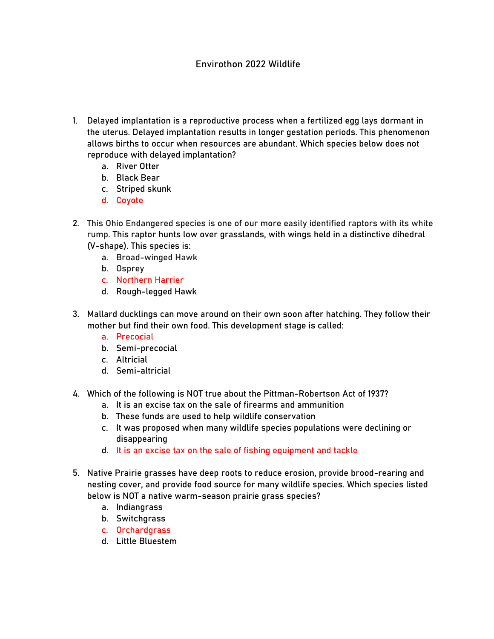## Envirothon 2022 Wildlife

- 1. Delayed implantation is a reproductive process when a fertilized egg lays dormant in the uterus. Delayed implantation results in longer gestation periods. This phenomenon allows births to occur when resources are abundant. Which species below does not reproduce with delayed implantation?
	- a. River Otter
	- b. Black Bear
	- c. Striped skunk
	- d. Coyote
- 2. This Ohio Endangered species is one of our more easily identified raptors with its white rump. This raptor hunts low over grasslands, with wings held in a distinctive dihedral (V-shape). This species is:
	- a. Broad-winged Hawk
	- b. Osprey
	- c. Northern Harrier
	- d. Rough-legged Hawk
- 3. Mallard ducklings can move around on their own soon after hatching. They follow their mother but find their own food. This development stage is called:
	- a. Precocial
	- b. Semi-precocial
	- c. Altricial
	- d. Semi-altricial
- 4. Which of the following is NOT true about the Pittman-Robertson Act of 1937?
	- a. It is an excise tax on the sale of firearms and ammunition
	- b. These funds are used to help wildlife conservation
	- c. It was proposed when many wildlife species populations were declining or disappearing
	- d. It is an excise tax on the sale of fishing equipment and tackle
- 5. Native Prairie grasses have deep roots to reduce erosion, provide brood-rearing and nesting cover, and provide food source for many wildlife species. Which species listed below is NOT a native warm-season prairie grass species?
	- a. Indiangrass
	- b. Switchgrass
	- c. Orchardgrass
	- d. Little Bluestem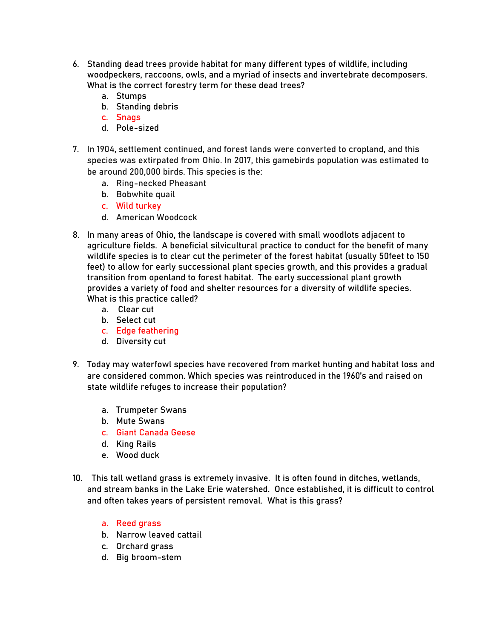- 6. Standing dead trees provide habitat for many different types of wildlife, including woodpeckers, raccoons, owls, and a myriad of insects and invertebrate decomposers. What is the correct forestry term for these dead trees?
	- a. Stumps
	- b. Standing debris
	- c. Snags
	- d. Pole-sized
- 7. In 1904, settlement continued, and forest lands were converted to cropland, and this species was extirpated from Ohio. In 2017, this gamebirds population was estimated to be around 200,000 birds. This species is the:
	- a. Ring-necked Pheasant
	- b. Bobwhite quail
	- c. Wild turkey
	- d. American Woodcock
- 8. In many areas of Ohio, the landscape is covered with small woodlots adjacent to agriculture fields. A beneficial silvicultural practice to conduct for the benefit of many wildlife species is to clear cut the perimeter of the forest habitat (usually 50feet to 150 feet) to allow for early successional plant species growth, and this provides a gradual transition from openland to forest habitat. The early successional plant growth provides a variety of food and shelter resources for a diversity of wildlife species. What is this practice called?
	- a. Clear cut
	- b. Select cut
	- c. Edge feathering
	- d. Diversity cut
- 9. Today may waterfowl species have recovered from market hunting and habitat loss and are considered common. Which species was reintroduced in the 1960's and raised on state wildlife refuges to increase their population?
	- a. Trumpeter Swans
	- b. Mute Swans
	- c. Giant Canada Geese
	- d. King Rails
	- e. Wood duck
- 10. This tall wetland grass is extremely invasive. It is often found in ditches, wetlands, and stream banks in the Lake Erie watershed. Once established, it is difficult to control and often takes years of persistent removal. What is this grass?
	- a. Reed grass
	- b. Narrow leaved cattail
	- c. Orchard grass
	- d. Big broom-stem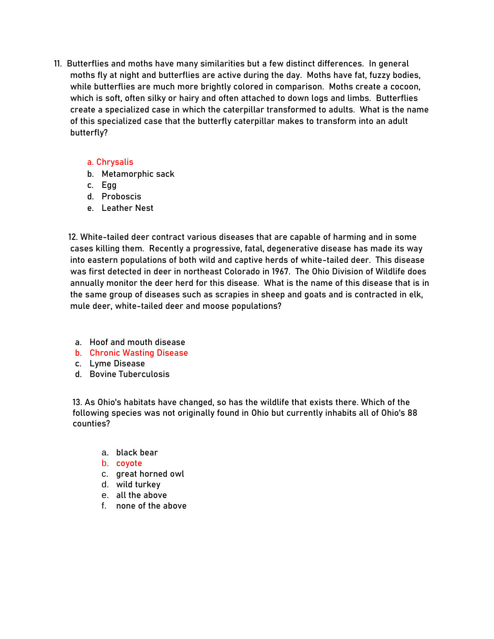11. Butterflies and moths have many similarities but a few distinct differences. In general moths fly at night and butterflies are active during the day. Moths have fat, fuzzy bodies, while butterflies are much more brightly colored in comparison. Moths create a cocoon, which is soft, often silky or hairy and often attached to down logs and limbs. Butterflies create a specialized case in which the caterpillar transformed to adults. What is the name of this specialized case that the butterfly caterpillar makes to transform into an adult butterfly?

## a. Chrysalis

- b. Metamorphic sack
- c. Egg
- d. Proboscis
- e. Leather Nest

 12. White-tailed deer contract various diseases that are capable of harming and in some cases killing them. Recently a progressive, fatal, degenerative disease has made its way into eastern populations of both wild and captive herds of white-tailed deer. This disease was first detected in deer in northeast Colorado in 1967. The Ohio Division of Wildlife does annually monitor the deer herd for this disease. What is the name of this disease that is in the same group of diseases such as scrapies in sheep and goats and is contracted in elk, mule deer, white-tailed deer and moose populations?

- a. Hoof and mouth disease
- b. Chronic Wasting Disease
- c. Lyme Disease
- d. Bovine Tuberculosis

13. As Ohio's habitats have changed, so has the wildlife that exists there. Which of the following species was not originally found in Ohio but currently inhabits all of Ohio's 88 counties?

- a. black bear
- b. coyote
- c. great horned owl
- d. wild turkey
- e. all the above
- f. none of the above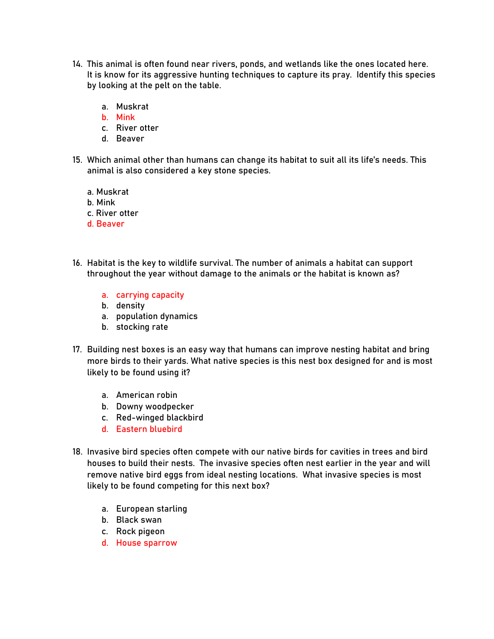- 14. This animal is often found near rivers, ponds, and wetlands like the ones located here. It is know for its aggressive hunting techniques to capture its pray. Identify this species by looking at the pelt on the table.
	- a. Muskrat
	- b. Mink
	- c. River otter
	- d. Beaver
- 15. Which animal other than humans can change its habitat to suit all its life's needs. This animal is also considered a key stone species.
	- a. Muskrat
	- b. Mink
	- c. River otter
	- d. Beaver
- 16. Habitat is the key to wildlife survival. The number of animals a habitat can support throughout the year without damage to the animals or the habitat is known as?
	- a. carrying capacity
	- b. density
	- a. population dynamics
	- b. stocking rate
- 17. Building nest boxes is an easy way that humans can improve nesting habitat and bring more birds to their yards. What native species is this nest box designed for and is most likely to be found using it?
	- a. American robin
	- b. Downy woodpecker
	- c. Red-winged blackbird
	- d. Eastern bluebird
- 18. Invasive bird species often compete with our native birds for cavities in trees and bird houses to build their nests. The invasive species often nest earlier in the year and will remove native bird eggs from ideal nesting locations. What invasive species is most likely to be found competing for this next box?
	- a. European starling
	- b. Black swan
	- c. Rock pigeon
	- d. House sparrow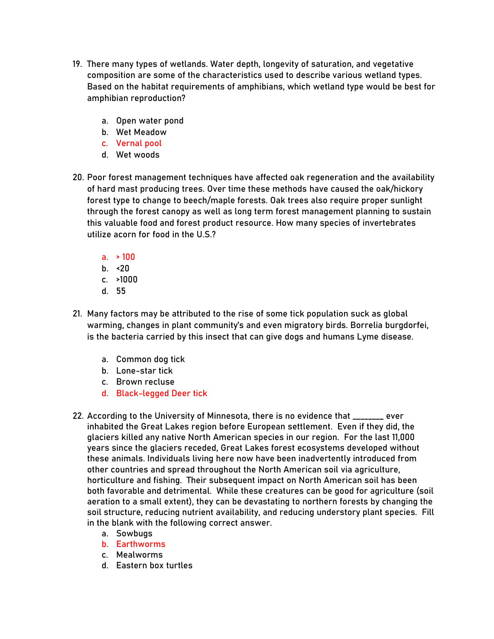- 19. There many types of wetlands. Water depth, longevity of saturation, and vegetative composition are some of the characteristics used to describe various wetland types. Based on the habitat requirements of amphibians, which wetland type would be best for amphibian reproduction?
	- a. Open water pond
	- b. Wet Meadow
	- c. Vernal pool
	- d. Wet woods
- 20. Poor forest management techniques have affected oak regeneration and the availability of hard mast producing trees. Over time these methods have caused the oak/hickory forest type to change to beech/maple forests. Oak trees also require proper sunlight through the forest canopy as well as long term forest management planning to sustain this valuable food and forest product resource. How many species of invertebrates utilize acorn for food in the U.S.?
	- a.  $> 100$
	- b.  $\leq$ 20
	- c. >1000
	- d. 55
- 21. Many factors may be attributed to the rise of some tick population suck as global warming, changes in plant community's and even migratory birds. Borrelia burgdorfei, is the bacteria carried by this insect that can give dogs and humans Lyme disease.
	- a. Common dog tick
	- b. Lone-star tick
	- c. Brown recluse
	- d. Black-legged Deer tick
- 22. According to the University of Minnesota, there is no evidence that \_\_\_\_\_\_\_\_ ever inhabited the Great Lakes region before European settlement. Even if they did, the glaciers killed any native North American species in our region. For the last 11,000 years since the glaciers receded, Great Lakes forest ecosystems developed without these animals. Individuals living here now have been inadvertently introduced from other countries and spread throughout the North American soil via agriculture, horticulture and fishing. Their subsequent impact on North American soil has been both favorable and detrimental. While these creatures can be good for agriculture (soil aeration to a small extent), they can be devastating to northern forests by changing the soil structure, reducing nutrient availability, and reducing understory plant species. Fill in the blank with the following correct answer.
	- a. Sowbugs
	- b. Earthworms
	- c. Mealworms
	- d. Eastern box turtles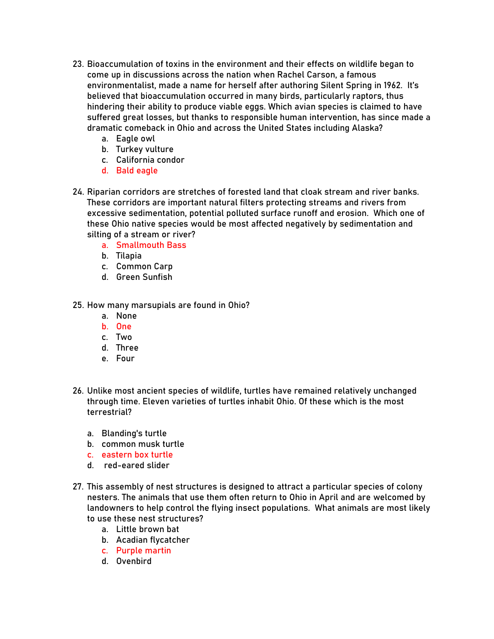- 23. Bioaccumulation of toxins in the environment and their effects on wildlife began to come up in discussions across the nation when Rachel Carson, a famous environmentalist, made a name for herself after authoring Silent Spring in 1962. It's believed that bioaccumulation occurred in many birds, particularly raptors, thus hindering their ability to produce viable eggs. Which avian species is claimed to have suffered great losses, but thanks to responsible human intervention, has since made a dramatic comeback in Ohio and across the United States including Alaska?
	- a. Eagle owl
	- b. Turkey vulture
	- c. California condor
	- d. Bald eagle
- 24. Riparian corridors are stretches of forested land that cloak stream and river banks. These corridors are important natural filters protecting streams and rivers from excessive sedimentation, potential polluted surface runoff and erosion. Which one of these Ohio native species would be most affected negatively by sedimentation and silting of a stream or river?
	- a. Smallmouth Bass
	- b. Tilapia
	- c. Common Carp
	- d. Green Sunfish
- 25. How many marsupials are found in Ohio?
	- a. None
	- b. One
	- c. Two
	- d. Three
	- e. Four
- 26. Unlike most ancient species of wildlife, turtles have remained relatively unchanged through time. Eleven varieties of turtles inhabit Ohio. Of these which is the most terrestrial?
	- a. Blanding's turtle
	- b. common musk turtle
	- c. eastern box turtle
	- d. red-eared slider
- 27. This assembly of nest structures is designed to attract a particular species of colony nesters. The animals that use them often return to Ohio in April and are welcomed by landowners to help control the flying insect populations. What animals are most likely to use these nest structures?
	- a. Little brown bat
	- b. Acadian flycatcher
	- c. Purple martin
	- d. Ovenbird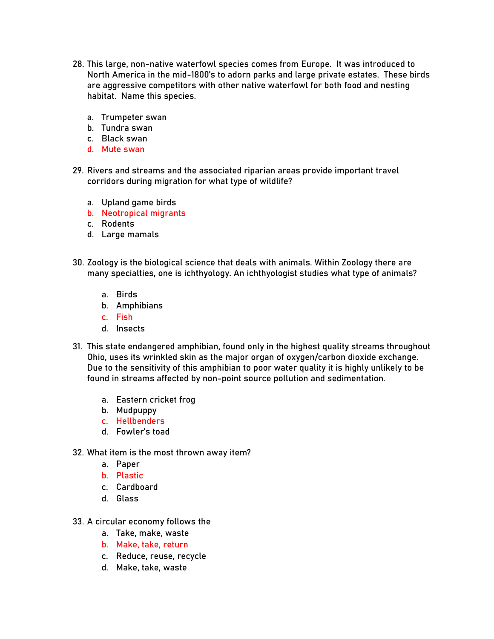- 28. This large, non-native waterfowl species comes from Europe. It was introduced to North America in the mid-1800's to adorn parks and large private estates. These birds are aggressive competitors with other native waterfowl for both food and nesting habitat. Name this species.
	- a. Trumpeter swan
	- b. Tundra swan
	- c. Black swan
	- d. Mute swan
- 29. Rivers and streams and the associated riparian areas provide important travel corridors during migration for what type of wildlife?
	- a. Upland game birds
	- b. Neotropical migrants
	- c. Rodents
	- d. Large mamals
- 30. Zoology is the biological science that deals with animals. Within Zoology there are many specialties, one is ichthyology. An ichthyologist studies what type of animals?
	- a. Birds
	- b. Amphibians
	- c. Fish
	- d. Insects
- 31. This state endangered amphibian, found only in the highest quality streams throughout Ohio, uses its wrinkled skin as the major organ of oxygen/carbon dioxide exchange. Due to the sensitivity of this amphibian to poor water quality it is highly unlikely to be found in streams affected by non-point source pollution and sedimentation.
	- a. Eastern cricket frog
	- b. Mudpuppy
	- c. Hellbenders
	- d. Fowler's toad
- 32. What item is the most thrown away item?
	- a. Paper
	- b. Plastic
	- c. Cardboard
	- d. Glass
- 33. A circular economy follows the
	- a. Take, make, waste
	- b. Make, take, return
	- c. Reduce, reuse, recycle
	- d. Make, take, waste